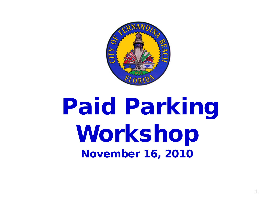

# Paid Parking Workshop November 16, 2010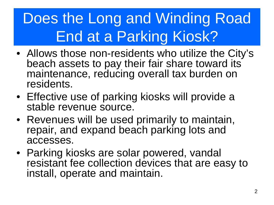## Does the Long and Winding Road End at a Parking Kiosk?

- Allows those non-residents who utilize the City's beach assets to pay their fair share toward its maintenance, reducing overall tax burden on residents.
- Effective use of parking kiosks will provide a stable revenue source.
- Revenues will be used primarily to maintain, repair, and expand beach parking lots and accesses.
- Parking kiosks are solar powered, vandal resistant fee collection devices that are easy to install, operate and maintain.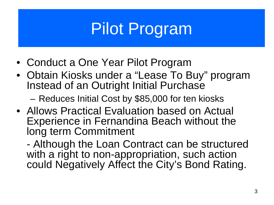# Pilot Program

- Conduct a One Year Pilot Program
- Obtain Kiosks under a "Lease To Buy" program Instead of an Outright Initial Purchase

– Reduces Initial Cost by \$85,000 for ten kiosks

• Allows Practical Evaluation based on Actual Experience in Fernandina Beach without the long term Commitment

- Although the Loan Contract can be structured with a right to non-appropriation, such action could Negatively Affect the City's Bond Rating.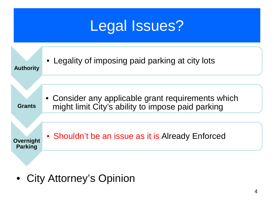

• City Attorney's Opinion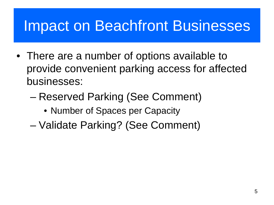### Impact on Beachfront Businesses

- There are a number of options available to provide convenient parking access for affected businesses:
	- Reserved Parking (See Comment)
		- Number of Spaces per Capacity
	- Validate Parking? (See Comment)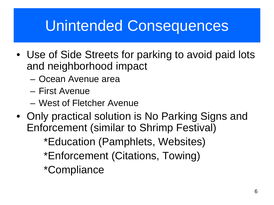### Unintended Consequences

- Use of Side Streets for parking to avoid paid lots and neighborhood impact
	- Ocean Avenue area
	- First Avenue
	- West of Fletcher Avenue
- Only practical solution is No Parking Signs and Enforcement (similar to Shrimp Festival)

\*Education (Pamphlets, Websites)

\*Enforcement (Citations, Towing)

\*Compliance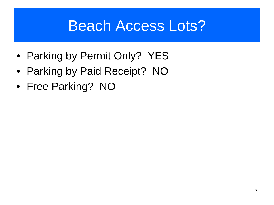### Beach Access Lots?

- Parking by Permit Only? YES
- Parking by Paid Receipt? NO
- Free Parking? NO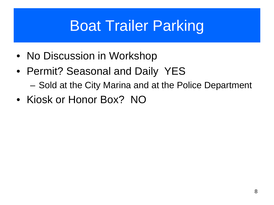### Boat Trailer Parking

- No Discussion in Workshop
- Permit? Seasonal and Daily YES
	- Sold at the City Marina and at the Police Department
- Kiosk or Honor Box? NO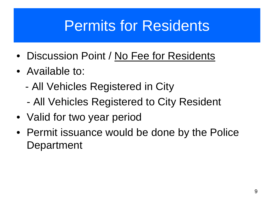### Permits for Residents

- Discussion Point / No Fee for Residents
- Available to:
	- All Vehicles Registered in City
	- All Vehicles Registered to City Resident
- Valid for two year period
- Permit issuance would be done by the Police Department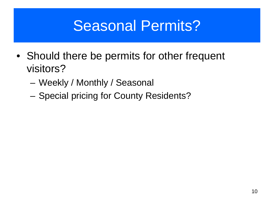### Seasonal Permits?

- Should there be permits for other frequent visitors?
	- Weekly / Monthly / Seasonal
	- Special pricing for County Residents?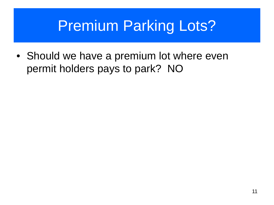### Premium Parking Lots?

• Should we have a premium lot where even permit holders pays to park? NO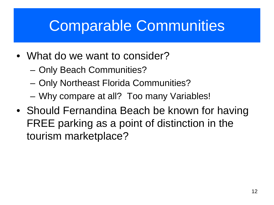### Comparable Communities

- What do we want to consider?
	- Only Beach Communities?
	- Only Northeast Florida Communities?
	- Why compare at all? Too many Variables!
- Should Fernandina Beach be known for having FREE parking as a point of distinction in the tourism marketplace?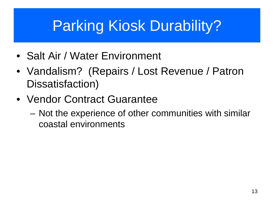### Parking Kiosk Durability?

- Salt Air / Water Environment
- Vandalism? (Repairs / Lost Revenue / Patron Dissatisfaction)
- Vendor Contract Guarantee
	- Not the experience of other communities with similar coastal environments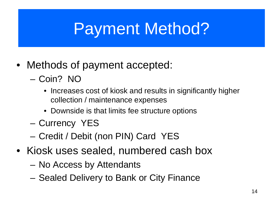# Payment Method?

- Methods of payment accepted:
	- Coin? NO
		- Increases cost of kiosk and results in significantly higher collection / maintenance expenses
		- Downside is that limits fee structure options
	- Currency YES
	- Credit / Debit (non PIN) Card YES
- Kiosk uses sealed, numbered cash box
	- No Access by Attendants
	- Sealed Delivery to Bank or City Finance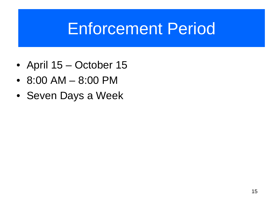## Enforcement Period

- April 15 October 15
- 8:00 AM 8:00 PM
- Seven Days a Week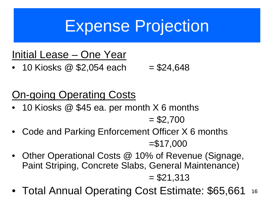## Expense Projection

### Initial Lease – One Year

• 10 Kiosks  $\omega$  \$2,054 each = \$24,648

### On-going Operating Costs

• 10 Kiosks @ \$45 ea. per month X 6 months

 $= $2,700$ 

- Code and Parking Enforcement Officer X 6 months =\$17,000
- Other Operational Costs @ 10% of Revenue (Signage, Paint Striping, Concrete Slabs, General Maintenance)

 $= $21,313$ 

• Total Annual Operating Cost Estimate: \$65,661 16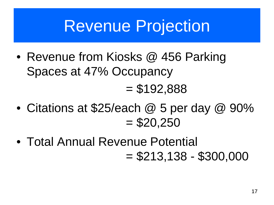### Revenue Projection

- Revenue from Kiosks @ 456 Parking Spaces at 47% Occupancy  $= $192,888$
- Citations at \$25/each @ 5 per day @ 90%  $= $20,250$
- Total Annual Revenue Potential  $= $213,138 - $300,000$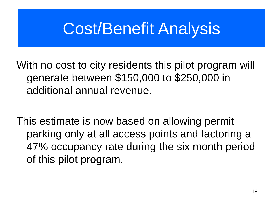## Cost/Benefit Analysis

With no cost to city residents this pilot program will generate between \$150,000 to \$250,000 in additional annual revenue.

This estimate is now based on allowing permit parking only at all access points and factoring a 47% occupancy rate during the six month period of this pilot program.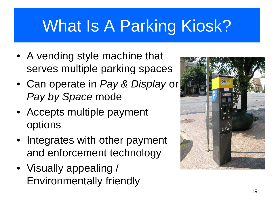# What Is A Parking Kiosk?

- A vending style machine that serves multiple parking spaces
- Can operate in *Pay & Display* or *Pay by Space* mode
- Accepts multiple payment options
- Integrates with other payment and enforcement technology
- Visually appealing / Environmentally friendly

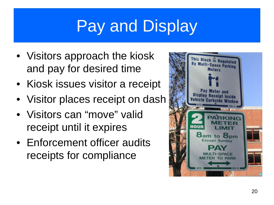# Pay and Display

- Visitors approach the kiosk and pay for desired time
- Kiosk issues visitor a receipt
- Visitor places receipt on dash
- Visitors can "move" valid receipt until it expires
- Enforcement officer audits receipts for compliance

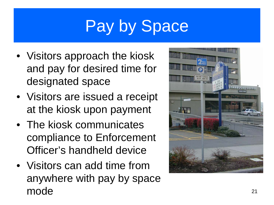# Pay by Space

- Visitors approach the kiosk and pay for desired time for designated space
- Visitors are issued a receipt at the kiosk upon payment
- The kiosk communicates compliance to Enforcement Officer's handheld device
- Visitors can add time from anywhere with pay by space  $\mathsf{mode}$  21

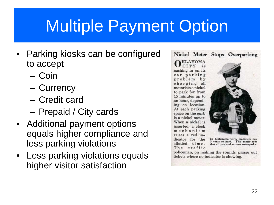# Multiple Payment Option

- Parking kiosks can be configured to accept
	- Coin
	- Currency
	- Credit card
	- Prepaid / City cards
- Additional payment options equals higher compliance and less parking violations
- Less parking violations equals higher visitor satisfaction

#### Nickel Meter Stops Overparking

#### **KLAHOMA** CITY is cashing in on its car parking problem by charging all motorists a nickel to park for from 15 minutes up to an hour, depending on location. At each parking space on the curb is a nickel meter. When a nickel is

inserted, a clock mechanism raises a red indicator for the

allotted time.

The traffic



In Oklahoma City, motorists pay<br>5 cents to park. This meter sees that all pay and no one over-parks.

policeman, on making the rounds, passes out tickets where no indicator is showing.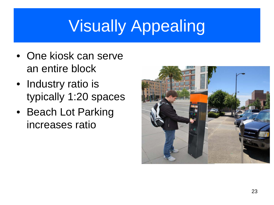# Visually Appealing

- One kiosk can serve an entire block
- Industry ratio is typically 1:20 spaces
- Beach Lot Parking increases ratio

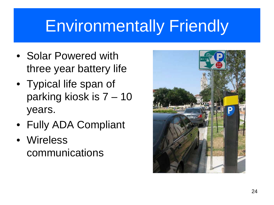## Environmentally Friendly

- Solar Powered with three year battery life
- Typical life span of parking kiosk is 7 – 10 years.
- Fully ADA Compliant
- Wireless communications

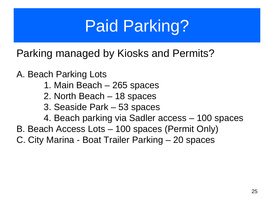# Paid Parking?

Parking managed by Kiosks and Permits?

A. Beach Parking Lots

- 1. Main Beach 265 spaces
- 2. North Beach 18 spaces
- 3. Seaside Park 53 spaces
- 4. Beach parking via Sadler access 100 spaces
- B. Beach Access Lots 100 spaces (Permit Only)
- C. City Marina Boat Trailer Parking 20 spaces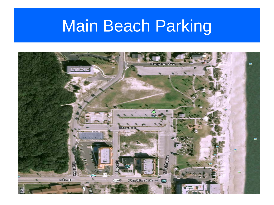# Main Beach Parking

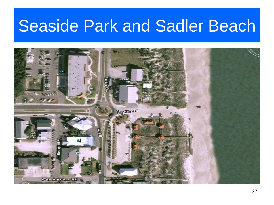### Seaside Park and Sadler Beach

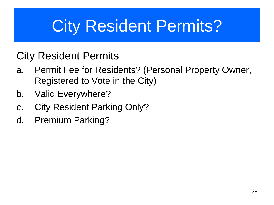# City Resident Permits?

### City Resident Permits

- a. Permit Fee for Residents? (Personal Property Owner, Registered to Vote in the City)
- b. Valid Everywhere?
- c. City Resident Parking Only?
- d. Premium Parking?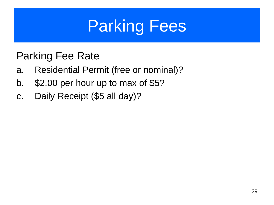# Parking Fees

### Parking Fee Rate

- a. Residential Permit (free or nominal)?
- b. \$2.00 per hour up to max of \$5?
- c. Daily Receipt (\$5 all day)?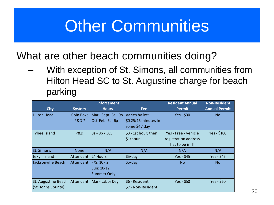## **Other Communities**

What are other beach communities doing?

– With exception of St. Simons, all communities from Hilton Head SC to St. Augustine charge for beach parking

|                                                                     |                              | <b>Enforcement</b>                                |                                                          | <b>Resident Annual</b>                                          | <b>Non-Resident</b>  |
|---------------------------------------------------------------------|------------------------------|---------------------------------------------------|----------------------------------------------------------|-----------------------------------------------------------------|----------------------|
| <b>City</b>                                                         | <b>System</b>                | <b>Hours</b>                                      | <b>Fee</b>                                               | <b>Permit</b>                                                   | <b>Annual Permit</b> |
| <b>Hilton Head</b>                                                  | Coin Box;<br><b>P&amp;D?</b> | Mar - Sept: 6a - 9p<br>Oct-Feb: 6a -6p            | Varies by lot:<br>\$0.25/15 minutes in<br>some \$4 / day | Yes - \$30                                                      | No.                  |
| <b>Tybee Island</b>                                                 | P&D                          | 8a - 8p / 365                                     | \$3 - 1st hour; then<br>\$1/hour                         | Yes - Free - vehicle<br>registration address<br>has to be in TI | $Yes - $100$         |
| <b>St. Simons</b>                                                   | <b>None</b>                  | N/A                                               | N/A                                                      | N/A                                                             | N/A                  |
| Jekyll Island                                                       | Attendant                    | 24 Hours                                          | \$5/day                                                  | Yes - \$45                                                      | Yes - \$45           |
| Jacksonville Beach                                                  | Attendant                    | $F/S: 10 - 2$<br>Sun: 10-12<br><b>Summer Only</b> | \$5/day                                                  | N <sub>o</sub>                                                  | <b>No</b>            |
| St. Augustine Beach Attendant Mar - Labor Day<br>(St. Johns County) |                              |                                                   | \$6 - Resident<br>\$7 - Non-Resident                     | Yes - \$50                                                      | Yes - \$60           |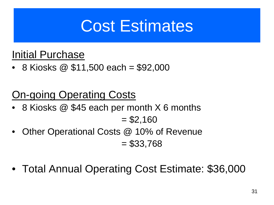## Cost Estimates

### Initial Purchase

• 8 Kiosks  $\circledR$  \$11,500 each = \$92,000

### On-going Operating Costs

- 8 Kiosks @ \$45 each per month X 6 months  $= $2,160$
- Other Operational Costs @ 10% of Revenue  $= $33,768$
- Total Annual Operating Cost Estimate: \$36,000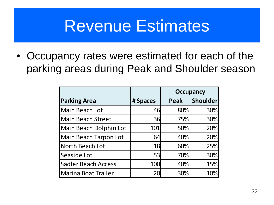### Revenue Estimates

• Occupancy rates were estimated for each of the parking areas during Peak and Shoulder season

|                            |          | <b>Occupancy</b> |                 |
|----------------------------|----------|------------------|-----------------|
| <b>Parking Area</b>        | # Spaces | Peak             | <b>Shoulder</b> |
| Main Beach Lot             | 46       | 80%              | 30%             |
| <b>Main Beach Street</b>   | 36       | 75%              | 30%             |
| Main Beach Dolphin Lot     | 101      | 50%              | 20%             |
| Main Beach Tarpon Lot      | 64       | 40%              | 20%             |
| North Beach Lot            | 18       | 60%              | 25%             |
| Seaside Lot                | 53       | 70%              | 30%             |
| <b>Sadler Beach Access</b> | 100      | 40%              | 15%             |
| <b>Marina Boat Trailer</b> | 20       | 30%              | 10%             |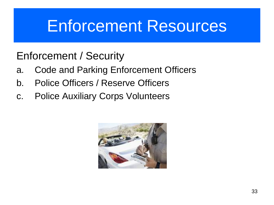### Enforcement Resources

### Enforcement / Security

- a. Code and Parking Enforcement Officers
- b. Police Officers / Reserve Officers
- c. Police Auxiliary Corps Volunteers